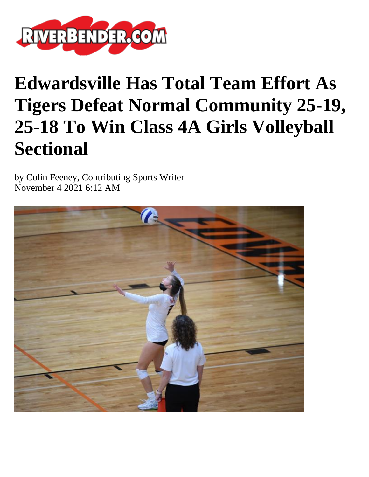

## **Edwardsville Has Total Team Effort As Tigers Defeat Normal Community 25-19, 25-18 To Win Class 4A Girls Volleyball Sectional**

by Colin Feeney, Contributing Sports Writer November 4 2021 6:12 AM

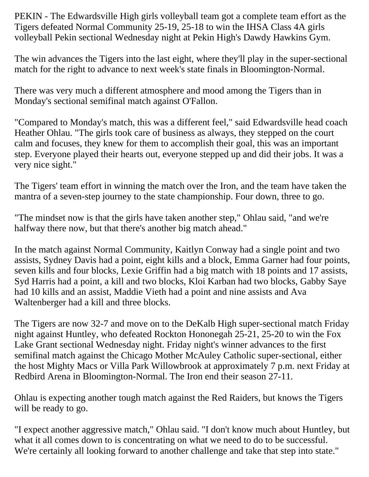PEKIN - The Edwardsville High girls volleyball team got a complete team effort as the Tigers defeated Normal Community 25-19, 25-18 to win the IHSA Class 4A girls volleyball Pekin sectional Wednesday night at Pekin High's Dawdy Hawkins Gym.

The win advances the Tigers into the last eight, where they'll play in the super-sectional match for the right to advance to next week's state finals in Bloomington-Normal.

There was very much a different atmosphere and mood among the Tigers than in Monday's sectional semifinal match against O'Fallon.

"Compared to Monday's match, this was a different feel," said Edwardsville head coach Heather Ohlau. "The girls took care of business as always, they stepped on the court calm and focuses, they knew for them to accomplish their goal, this was an important step. Everyone played their hearts out, everyone stepped up and did their jobs. It was a very nice sight."

The Tigers' team effort in winning the match over the Iron, and the team have taken the mantra of a seven-step journey to the state championship. Four down, three to go.

"The mindset now is that the girls have taken another step," Ohlau said, "and we're halfway there now, but that there's another big match ahead."

In the match against Normal Community, Kaitlyn Conway had a single point and two assists, Sydney Davis had a point, eight kills and a block, Emma Garner had four points, seven kills and four blocks, Lexie Griffin had a big match with 18 points and 17 assists, Syd Harris had a point, a kill and two blocks, Kloi Karban had two blocks, Gabby Saye had 10 kills and an assist, Maddie Vieth had a point and nine assists and Ava Waltenberger had a kill and three blocks.

The Tigers are now 32-7 and move on to the DeKalb High super-sectional match Friday night against Huntley, who defeated Rockton Hononegah 25-21, 25-20 to win the Fox Lake Grant sectional Wednesday night. Friday night's winner advances to the first semifinal match against the Chicago Mother McAuley Catholic super-sectional, either the host Mighty Macs or Villa Park Willowbrook at approximately 7 p.m. next Friday at Redbird Arena in Bloomington-Normal. The Iron end their season 27-11.

Ohlau is expecting another tough match against the Red Raiders, but knows the Tigers will be ready to go.

"I expect another aggressive match," Ohlau said. "I don't know much about Huntley, but what it all comes down to is concentrating on what we need to do to be successful. We're certainly all looking forward to another challenge and take that step into state."